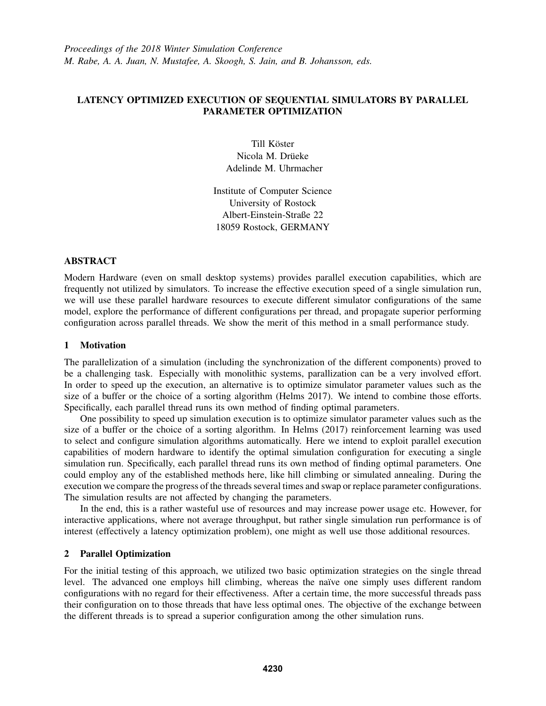# LATENCY OPTIMIZED EXECUTION OF SEQUENTIAL SIMULATORS BY PARALLEL PARAMETER OPTIMIZATION

Till Köster Nicola M. Drüeke Adelinde M. Uhrmacher

Institute of Computer Science University of Rostock Albert-Einstein-Straße 22 18059 Rostock, GERMANY

## ABSTRACT

Modern Hardware (even on small desktop systems) provides parallel execution capabilities, which are frequently not utilized by simulators. To increase the effective execution speed of a single simulation run, we will use these parallel hardware resources to execute different simulator configurations of the same model, explore the performance of different configurations per thread, and propagate superior performing configuration across parallel threads. We show the merit of this method in a small performance study.

## 1 Motivation

The parallelization of a simulation (including the synchronization of the different components) proved to be a challenging task. Especially with monolithic systems, parallization can be a very involved effort. In order to speed up the execution, an alternative is to optimize simulator parameter values such as the size of a buffer or the choice of a sorting algorithm (Helms 2017). We intend to combine those efforts. Specifically, each parallel thread runs its own method of finding optimal parameters.

One possibility to speed up simulation execution is to optimize simulator parameter values such as the size of a buffer or the choice of a sorting algorithm. In Helms (2017) reinforcement learning was used to select and configure simulation algorithms automatically. Here we intend to exploit parallel execution capabilities of modern hardware to identify the optimal simulation configuration for executing a single simulation run. Specifically, each parallel thread runs its own method of finding optimal parameters. One could employ any of the established methods here, like hill climbing or simulated annealing. During the execution we compare the progress of the threads several times and swap or replace parameter configurations. The simulation results are not affected by changing the parameters.

In the end, this is a rather wasteful use of resources and may increase power usage etc. However, for interactive applications, where not average throughput, but rather single simulation run performance is of interest (effectively a latency optimization problem), one might as well use those additional resources.

## 2 Parallel Optimization

For the initial testing of this approach, we utilized two basic optimization strategies on the single thread level. The advanced one employs hill climbing, whereas the naïve one simply uses different random configurations with no regard for their effectiveness. After a certain time, the more successful threads pass their configuration on to those threads that have less optimal ones. The objective of the exchange between the different threads is to spread a superior configuration among the other simulation runs.